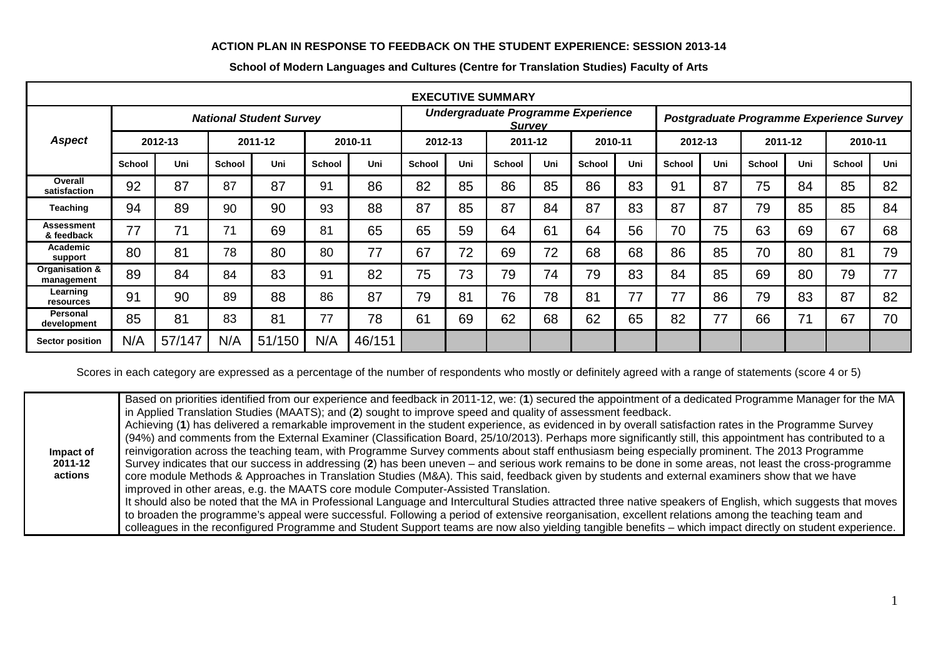## **ACTION PLAN IN RESPONSE TO FEEDBACK ON THE STUDENT EXPERIENCE: SESSION 2013-14**

| <b>EXECUTIVE SUMMARY</b>        |                                |        |         |        |               |        |                                                     |     |               |     |         |                                          |         |     |         |     |               |     |
|---------------------------------|--------------------------------|--------|---------|--------|---------------|--------|-----------------------------------------------------|-----|---------------|-----|---------|------------------------------------------|---------|-----|---------|-----|---------------|-----|
|                                 | <b>National Student Survey</b> |        |         |        |               |        | Undergraduate Programme Experience<br><b>Survey</b> |     |               |     |         | Postgraduate Programme Experience Survey |         |     |         |     |               |     |
| <b>Aspect</b>                   | 2012-13                        |        | 2011-12 |        | 2010-11       |        | 2012-13                                             |     | 2011-12       |     | 2010-11 |                                          | 2012-13 |     | 2011-12 |     | 2010-11       |     |
|                                 | School                         | Uni    | School  | Uni    | <b>School</b> | Uni    | <b>School</b>                                       | Uni | <b>School</b> | Uni | School  | Uni                                      | School  | Uni | School  | Uni | <b>School</b> | Uni |
| Overall<br>satisfaction         | 92                             | 87     | 87      | 87     | 91            | 86     | 82                                                  | 85  | 86            | 85  | 86      | 83                                       | 91      | 87  | 75      | 84  | 85            | 82  |
| Teaching                        | 94                             | 89     | 90      | 90     | 93            | 88     | 87                                                  | 85  | 87            | 84  | 87      | 83                                       | 87      | 87  | 79      | 85  | 85            | 84  |
| <b>Assessment</b><br>& feedback | 77                             | 71     | 71      | 69     | 81            | 65     | 65                                                  | 59  | 64            | 61  | 64      | 56                                       | 70      | 75  | 63      | 69  | 67            | 68  |
| Academic<br>support             | 80                             | 81     | 78      | 80     | 80            | 77     | 67                                                  | 72  | 69            | 72  | 68      | 68                                       | 86      | 85  | 70      | 80  | 81            | 79  |
| Organisation &<br>management    | 89                             | 84     | 84      | 83     | 91            | 82     | 75                                                  | 73  | 79            | 74  | 79      | 83                                       | 84      | 85  | 69      | 80  | 79            | 77  |
| Learning<br>resources           | 91                             | 90     | 89      | 88     | 86            | 87     | 79                                                  | 81  | 76            | 78  | 81      | 77                                       | 77      | 86  | 79      | 83  | 87            | 82  |
| <b>Personal</b><br>development  | 85                             | 81     | 83      | 81     | 77            | 78     | 61                                                  | 69  | 62            | 68  | 62      | 65                                       | 82      | 77  | 66      | 71  | 67            | 70  |
| Sector position                 | N/A                            | 57/147 | N/A     | 51/150 | N/A           | 46/151 |                                                     |     |               |     |         |                                          |         |     |         |     |               |     |

## **School of Modern Languages and Cultures (Centre for Translation Studies) Faculty of Arts**

Scores in each category are expressed as a percentage of the number of respondents who mostly or definitely agreed with a range of statements (score 4 or 5)

|           | Based on priorities identified from our experience and feedback in 2011-12, we: (1) secured the appointment of a dedicated Programme Manager for the MA      |
|-----------|--------------------------------------------------------------------------------------------------------------------------------------------------------------|
|           | In Applied Translation Studies (MAATS); and (2) sought to improve speed and quality of assessment feedback.                                                  |
|           | Achieving (1) has delivered a remarkable improvement in the student experience, as evidenced in by overall satisfaction rates in the Programme Survey        |
|           | (94%) and comments from the External Examiner (Classification Board, 25/10/2013). Perhaps more significantly still, this appointment has contributed to a    |
| Impact of | reinvigoration across the teaching team, with Programme Survey comments about staff enthusiasm being especially prominent. The 2013 Programme                |
| 2011-12   | Survey indicates that our success in addressing (2) has been uneven – and serious work remains to be done in some areas, not least the cross-programme       |
| actions   | core module Methods & Approaches in Translation Studies (M&A). This said, feedback given by students and external examiners show that we have                |
|           | improved in other areas, e.g. the MAATS core module Computer-Assisted Translation.                                                                           |
|           | It should also be noted that the MA in Professional Language and Intercultural Studies attracted three native speakers of English, which suggests that moves |
|           | to broaden the programme's appeal were successful. Following a period of extensive reorganisation, excellent relations among the teaching team and           |
|           | colleagues in the reconfigured Programme and Student Support teams are now also yielding tangible benefits – which impact directly on student experience.    |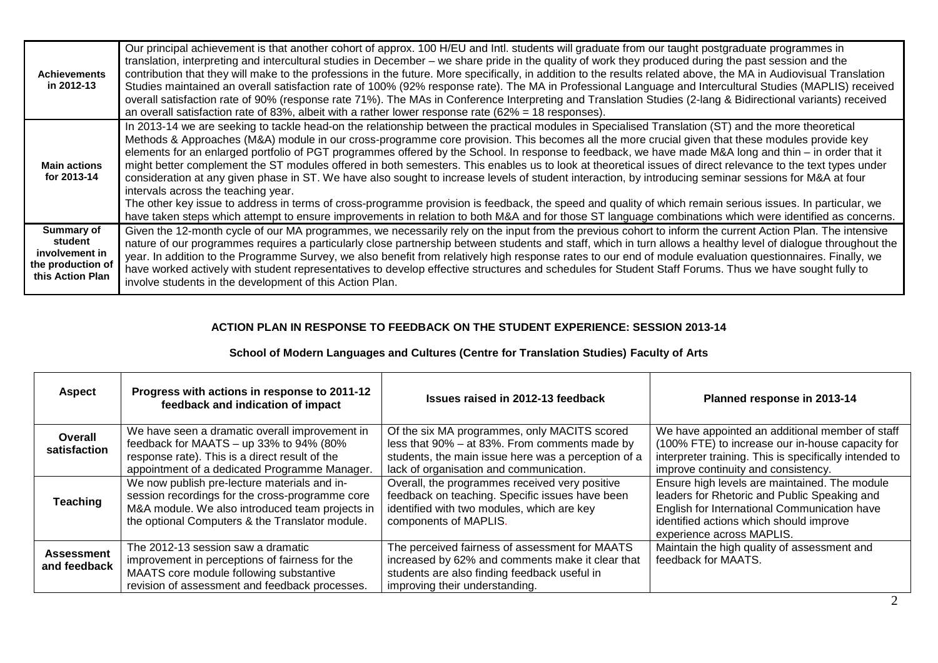| <b>Achievements</b><br>in 2012-13                                                       | Our principal achievement is that another cohort of approx. 100 H/EU and Intl. students will graduate from our taught postgraduate programmes in<br>translation, interpreting and intercultural studies in December – we share pride in the quality of work they produced during the past session and the<br>contribution that they will make to the professions in the future. More specifically, in addition to the results related above, the MA in Audiovisual Translation<br>Studies maintained an overall satisfaction rate of 100% (92% response rate). The MA in Professional Language and Intercultural Studies (MAPLIS) received<br>overall satisfaction rate of 90% (response rate 71%). The MAs in Conference Interpreting and Translation Studies (2-lang & Bidirectional variants) received<br>an overall satisfaction rate of 83%, albeit with a rather lower response rate $(62\% = 18$ responses).                                                                                                                                                                                                                                      |
|-----------------------------------------------------------------------------------------|----------------------------------------------------------------------------------------------------------------------------------------------------------------------------------------------------------------------------------------------------------------------------------------------------------------------------------------------------------------------------------------------------------------------------------------------------------------------------------------------------------------------------------------------------------------------------------------------------------------------------------------------------------------------------------------------------------------------------------------------------------------------------------------------------------------------------------------------------------------------------------------------------------------------------------------------------------------------------------------------------------------------------------------------------------------------------------------------------------------------------------------------------------|
| <b>Main actions</b><br>for 2013-14                                                      | In 2013-14 we are seeking to tackle head-on the relationship between the practical modules in Specialised Translation (ST) and the more theoretical<br>Methods & Approaches (M&A) module in our cross-programme core provision. This becomes all the more crucial given that these modules provide key<br>elements for an enlarged portfolio of PGT programmes offered by the School. In response to feedback, we have made M&A long and thin – in order that it<br>might better complement the ST modules offered in both semesters. This enables us to look at theoretical issues of direct relevance to the text types under<br>consideration at any given phase in ST. We have also sought to increase levels of student interaction, by introducing seminar sessions for M&A at four<br>intervals across the teaching year.<br>The other key issue to address in terms of cross-programme provision is feedback, the speed and quality of which remain serious issues. In particular, we<br>have taken steps which attempt to ensure improvements in relation to both M&A and for those ST language combinations which were identified as concerns. |
| <b>Summary of</b><br>student<br>involvement in<br>the production of<br>this Action Plan | Given the 12-month cycle of our MA programmes, we necessarily rely on the input from the previous cohort to inform the current Action Plan. The intensive<br>nature of our programmes requires a particularly close partnership between students and staff, which in turn allows a healthy level of dialogue throughout the<br>year. In addition to the Programme Survey, we also benefit from relatively high response rates to our end of module evaluation questionnaires. Finally, we<br>have worked actively with student representatives to develop effective structures and schedules for Student Staff Forums. Thus we have sought fully to<br>involve students in the development of this Action Plan.                                                                                                                                                                                                                                                                                                                                                                                                                                          |

## **ACTION PLAN IN RESPONSE TO FEEDBACK ON THE STUDENT EXPERIENCE: SESSION 2013-14**

## **School of Modern Languages and Cultures (Centre for Translation Studies) Faculty of Arts**

| <b>Aspect</b>                     | Progress with actions in response to 2011-12<br>feedback and indication of impact                                                                                                                     | Issues raised in 2012-13 feedback                                                                                                                                                               | Planned response in 2013-14                                                                                                                                                                                           |
|-----------------------------------|-------------------------------------------------------------------------------------------------------------------------------------------------------------------------------------------------------|-------------------------------------------------------------------------------------------------------------------------------------------------------------------------------------------------|-----------------------------------------------------------------------------------------------------------------------------------------------------------------------------------------------------------------------|
| Overall<br>satisfaction           | We have seen a dramatic overall improvement in<br>feedback for MAATS – up 33% to 94% (80%)<br>response rate). This is a direct result of the<br>appointment of a dedicated Programme Manager.         | Of the six MA programmes, only MACITS scored<br>less that 90% - at 83%. From comments made by<br>students, the main issue here was a perception of a<br>lack of organisation and communication. | We have appointed an additional member of staff<br>(100% FTE) to increase our in-house capacity for<br>interpreter training. This is specifically intended to<br>improve continuity and consistency.                  |
| <b>Teaching</b>                   | We now publish pre-lecture materials and in-<br>session recordings for the cross-programme core<br>M&A module. We also introduced team projects in<br>the optional Computers & the Translator module. | Overall, the programmes received very positive<br>feedback on teaching. Specific issues have been<br>identified with two modules, which are key<br>components of MAPLIS.                        | Ensure high levels are maintained. The module<br>leaders for Rhetoric and Public Speaking and<br>English for International Communication have<br>identified actions which should improve<br>experience across MAPLIS. |
| <b>Assessment</b><br>and feedback | The 2012-13 session saw a dramatic<br>improvement in perceptions of fairness for the<br>MAATS core module following substantive<br>revision of assessment and feedback processes.                     | The perceived fairness of assessment for MAATS<br>increased by 62% and comments make it clear that<br>students are also finding feedback useful in<br>improving their understanding.            | Maintain the high quality of assessment and<br>feedback for MAATS.                                                                                                                                                    |